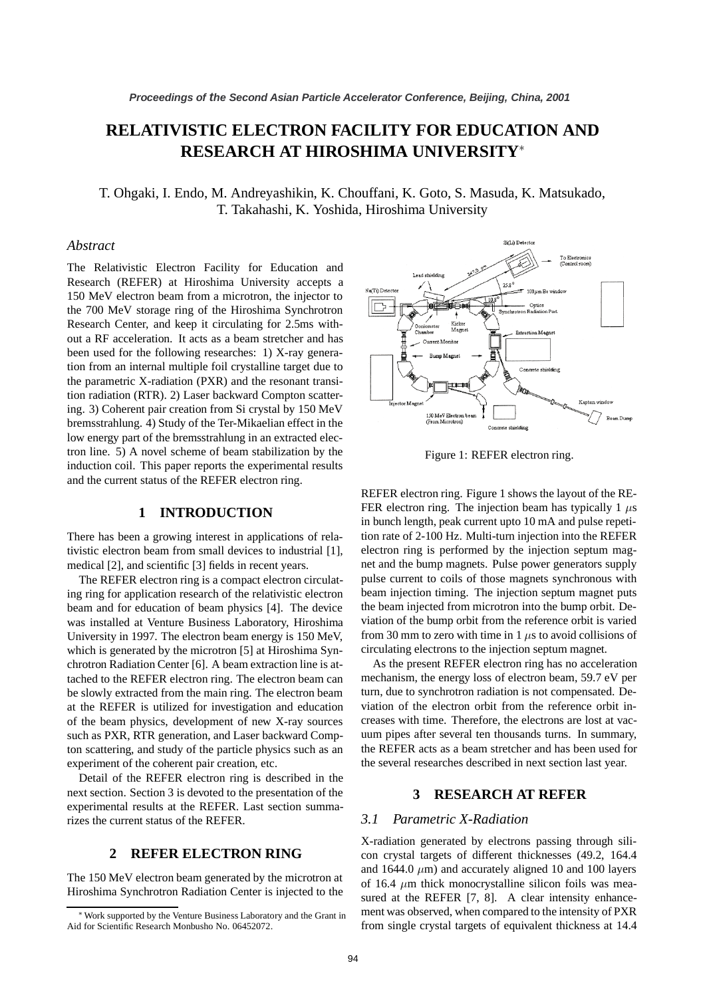# **RELATIVISTIC ELECTRON FACILITY FOR EDUCATION AND RESEARCH AT HIROSHIMA UNIVERSITY**<sup>∗</sup>

T. Ohgaki, I. Endo, M. Andreyashikin, K. Chouffani, K. Goto, S. Masuda, K. Matsukado, T. Takahashi, K. Yoshida, Hiroshima University

#### *Abstract*

The Relativistic Electron Facility for Education and Research (REFER) at Hiroshima University accepts a 150 MeV electron beam from a microtron, the injector to the 700 MeV storage ring of the Hiroshima Synchrotron Research Center, and keep it circulating for 2.5ms without a RF acceleration. It acts as a beam stretcher and has been used for the following researches: 1) X-ray generation from an internal multiple foil crystalline target due to the parametric X-radiation (PXR) and the resonant transition radiation (RTR). 2) Laser backward Compton scattering. 3) Coherent pair creation from Si crystal by 150 MeV bremsstrahlung. 4) Study of the Ter-Mikaelian effect in the low energy part of the bremsstrahlung in an extracted electron line. 5) A novel scheme of beam stabilization by the induction coil. This paper reports the experimental results and the current status of the REFER electron ring.

#### **1 INTRODUCTION**

There has been a growing interest in applications of relativistic electron beam from small devices to industrial [1], medical [2], and scientific [3] fields in recent years.

The REFER electron ring is a compact electron circulating ring for application research of the relativistic electron beam and for education of beam physics [4]. The device was installed at Venture Business Laboratory, Hiroshima University in 1997. The electron beam energy is 150 MeV, tached to the REFER electron ring. The electron beam can be slowly extracted from the main ring. The electron beam at the REFER is utilized for investigation and education of the beam physics, development of new X-ray sources such as PXR, RTR generation, and Laser backward Compton scattering, and study of the particle physics such as an experiment of the coherent pair creation, etc. which is generated by the microtron [5] at Hiroshima Synchrotron Radiation Center [6]. A beam extraction line is at-

Detail of the REFER electron ring is described in the next section. Section 3 is devoted to the presentation of the experimental results at the REFER. Last section summarizes the current status of the REFER.

## **2 REFER ELECTRON RING**

The 150 MeV electron beam generated by the microtron at Hiroshima Synchrotron Radiation Center is injected to the



Figure 1: REFER electron ring.

REFER electron ring. Figure 1 shows the layout of the RE-FER electron ring. The injection beam has typically 1  $\mu$ s in bunch length, peak current upto 10 mA and pulse repetition rate of 2-100 Hz. Multi-turn injection into the REFER electron ring is performed by the injection septum magnet and the bump magnets. Pulse power generators supply pulse current to coils of those magnets synchronous with beam injection timing. The injection septum magnet puts the beam injected from microtron into the bump orbit. Deviation of the bump orbit from the reference orbit is varied from 30 mm to zero with time in 1 *µ*s to avoid collisions of circulating electrons to the injection septum magnet.

As the present REFER electron ring has no acceleration mechanism, the energy loss of electron beam, 59.7 eV per turn, due to synchrotron radiation is not compensated. Deviation of the electron orbit from the reference orbit increases with time. Therefore, the electrons are lost at vacuum pipes after several ten thousands turns. In summary, the REFER acts as a beam stretcher and has been used for the several researches described in next section last year.

## **3 RESEARCH AT REFER**

#### *3.1 Parametric X-Radiation*

X-radiation generated by electrons passing through silicon crystal targets of different thicknesses (49.2, 164.4 and  $1644.0 \ \mu m$ ) and accurately aligned 10 and 100 layers of 16.4  $\mu$ m thick monocrystalline silicon foils was meament was observed, when compared to the intensity of PXR from single crystal targets of equivalent thickness at 14.4 sured at the REFER [7, 8]. A clear intensity enhance-

Work supported by the Venture Business Laboratory and the Grant in Aid for Scientific Research Monbusho No. 06452072.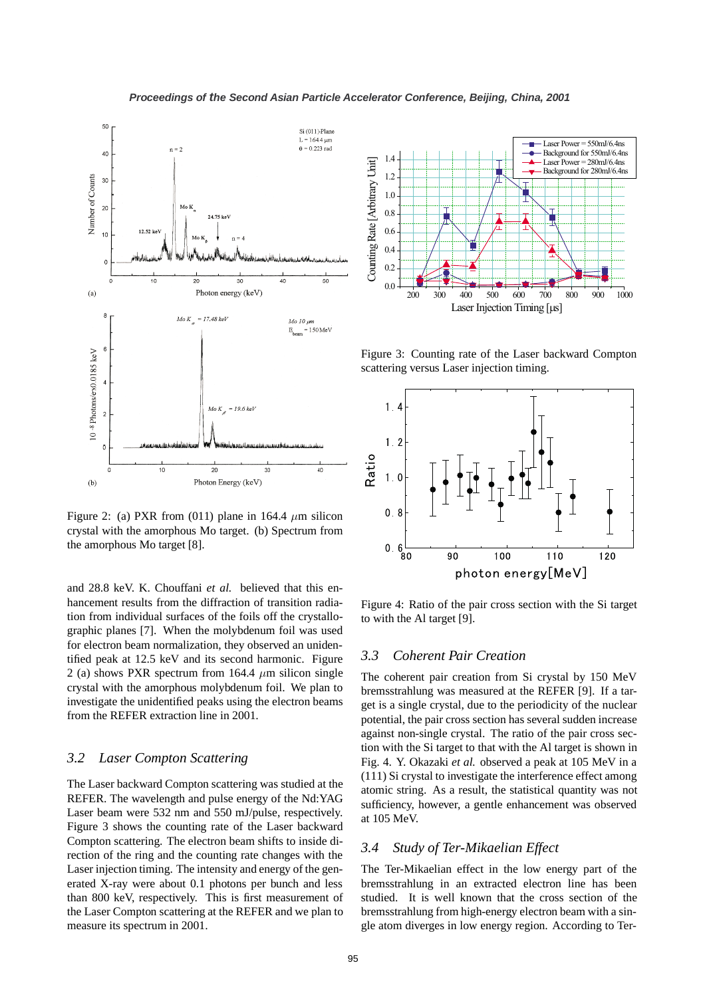

Figure 2: (a) PXR from (011) plane in 164.4  $\mu$ m silicon crystal with the amorphous Mo target. (b) Spectrum from the amorphous Mo target [8].

and 28.8 keV. K. Chouffani *et al.* believed that this enhancement results from the diffraction of transition radiation from individual surfaces of the foils off the crystallographic planes [7]. When the molybdenum foil was used for electron beam normalization, they observed an unidentified peak at 12.5 keV and its second harmonic. Figure 2 (a) shows PXR spectrum from 164.4 *µ*m silicon single crystal with the amorphous molybdenum foil. We plan to investigate the unidentified peaks using the electron beams from the REFER extraction line in 2001.

#### *3.2 Laser Compton Scattering*

The Laser backward Compton scattering was studied at the REFER. The wavelength and pulse energy of the Nd:YAG Laser beam were 532 nm and 550 mJ/pulse, respectively. Figure 3 shows the counting rate of the Laser backward Compton scattering. The electron beam shifts to inside direction of the ring and the counting rate changes with the Laser injection timing. The intensity and energy of the generated X-ray were about 0.1 photons per bunch and less than 800 keV, respectively. This is first measurement of the Laser Compton scattering at the REFER and we plan to measure its spectrum in 2001.



Figure 3: Counting rate of the Laser backward Compton scattering versus Laser injection timing.



Figure 4: Ratio of the pair cross section with the Si target to with the Al target [9].

#### *3.3 Coherent Pair Creation*

The coherent pair creation from Si crystal by 150 MeV get is a single crystal, due to the periodicity of the nuclear potential, the pair cross section has several sudden increase against non-single crystal. The ratio of the pair cross section with the Si target to that with the Al target is shown in Fig. 4. Y. Okazaki *et al.* observed a peak at 105 MeV in a (111) Si crystal to investigate the interference effect among atomic string. As a result, the statistical quantity was not sufficiency, however, a gentle enhancement was observed at 105 MeV. bremsstrahlung was measured at the REFER [9]. If a tar-

### *3.4 Study of Ter-Mikaelian Effect*

The Ter-Mikaelian effect in the low energy part of the bremsstrahlung in an extracted electron line has been studied. It is well known that the cross section of the bremsstrahlung from high-energy electron beam with a single atom diverges in low energy region. According to Ter